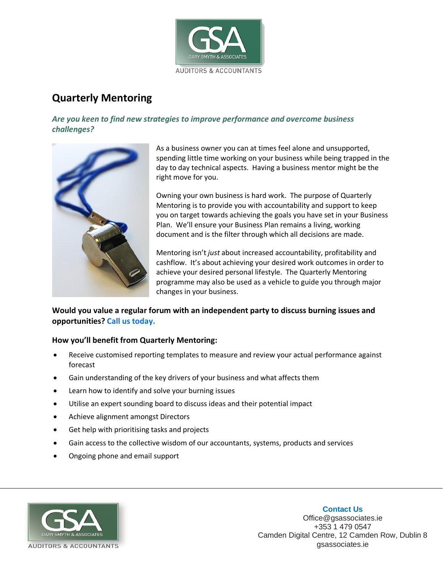

## **Quarterly Mentoring**

*Are you keen to find new strategies to improve performance and overcome business challenges?*



As a business owner you can at times feel alone and unsupported, spending little time working on your business while being trapped in the day to day technical aspects. Having a business mentor might be the right move for you.

Owning your own business is hard work. The purpose of Quarterly Mentoring is to provide you with accountability and support to keep you on target towards achieving the goals you have set in your Business Plan. We'll ensure your Business Plan remains a living, working document and is the filter through which all decisions are made.

Mentoring isn't *just* about increased accountability, profitability and cashflow. It's about achieving your desired work outcomes in order to achieve your desired personal lifestyle. The Quarterly Mentoring programme may also be used as a vehicle to guide you through major changes in your business.

## **Would you value a regular forum with an independent party to discuss burning issues and opportunities? Call us today.**

## **How you'll benefit from Quarterly Mentoring:**

- Receive customised reporting templates to measure and review your actual performance against forecast
- Gain understanding of the key drivers of your business and what affects them
- Learn how to identify and solve your burning issues
- Utilise an expert sounding board to discuss ideas and their potential impact
- Achieve alignment amongst Directors
- Get help with prioritising tasks and projects
- Gain access to the collective wisdom of our accountants, systems, products and services
- Ongoing phone and email support



**Contact Us** Office@gsassociates.ie +353 1 479 0547 Camden Digital Centre, 12 Camden Row, Dublin 8 gsassociates.ie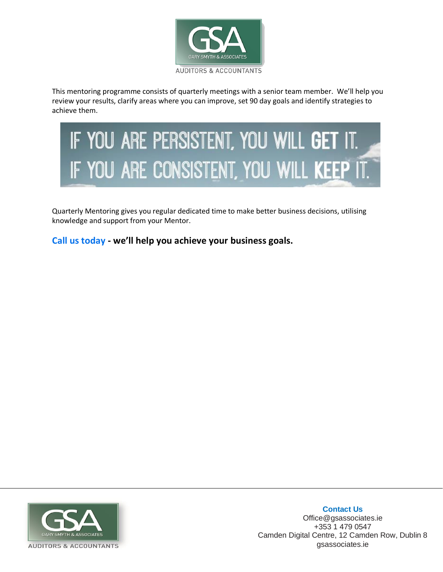

This mentoring programme consists of quarterly meetings with a senior team member. We'll help you review your results, clarify areas where you can improve, set 90 day goals and identify strategies to achieve them.

## IF YOU ARE PERSISTENT, YOU WILL GET IT. IF YOU ARE CONSISTENT, YOU WILL KEEP

Quarterly Mentoring gives you regular dedicated time to make better business decisions, utilising knowledge and support from your Mentor.

**Call us today - we'll help you achieve your business goals.**



**Contact Us** Office@gsassociates.ie +353 1 479 0547 Camden Digital Centre, 12 Camden Row, Dublin 8 gsassociates.ie